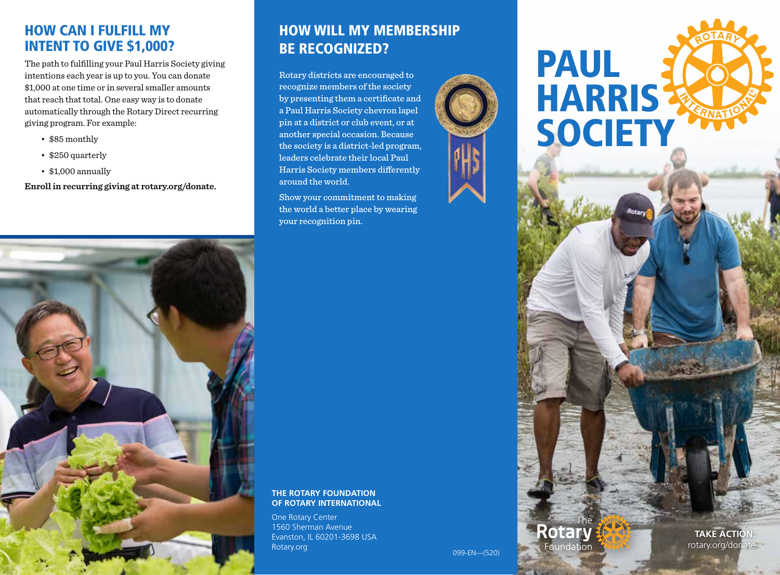#### HOW CAN I FULFILL MY INTENT TO GIVE \$1,000?

The path to fulfilling your Paul Harris Society giving intentions each year is up to you. You can donate \$1,000 at one time or in several smaller amounts that reach that total. One easy way is to donate automatically through the Rotary Direct recurring giving program. For example:

- \$85 monthly
- \$250 quarterly
- \$1,000 annually

**Enroll in recurring giving at rotary.org/donate.**



# HOW WILL MY MEMBERSHIP BE RECOGNIZED?

Rotary districts are encouraged to recognize members of the society by presenting them a certificate and a Paul Harris Society chevron lapel pin at a district or club event, or at another special occasion. Because the society is a district-led program, leaders celebrate their local Paul Harris Society members differently around the world.

Show your commitment to making the world a better place by wearing your recognition pin.

#### **THE ROTARY FOUNDATION OF ROTARY INTERNATIONAL**

One Rotary Center 1560 Sherman Avenue Evanston, IL 60201-3698 USA Rotary.org 099-EN—(520)